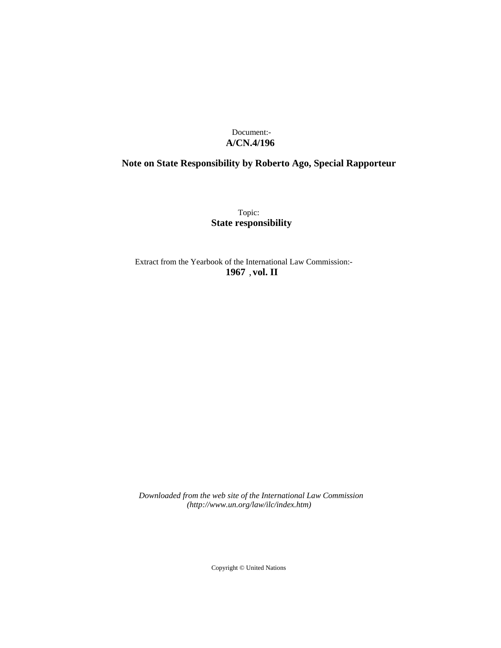## Document:- **A/CN.4/196**

# **Note on State Responsibility by Roberto Ago, Special Rapporteur**

Topic: **State responsibility**

Extract from the Yearbook of the International Law Commission:- **1967** ,**vol. II**

*Downloaded from the web site of the International Law Commission (http://www.un.org/law/ilc/index.htm)*

Copyright © United Nations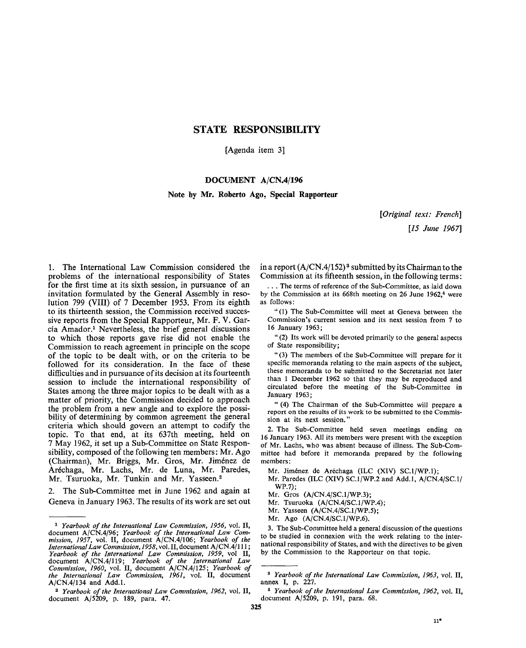## STATE RESPONSIBILITY

[Agenda item 3]

## **DOCUMENT A/CN.4/196**

### **Note by Mr. Roberto Ago, Special Rapporteur**

*[Original text: French] [15 June 1967]*

1. The International Law Commission considered the problems of the international responsibility of States for the first time at its sixth session, in pursuance of an invitation formulated by the General Assembly in resolution 799 (VIII) of 7 December 1953. From its eighth to its thirteenth session, the Commission received successive reports from the Special Rapporteur, Mr. F. V. Garcia Amador.<sup>1</sup> Nevertheless, the brief general discussions to which those reports gave rise did not enable the Commission to reach agreement in principle on the scope of the topic to be dealt with, or on the criteria to be followed for its consideration. In the face of these difficulties and in pursuance of its decision at its fourteenth session to include the international responsibility of States among the three major topics to be dealt with as a matter of priority, the Commission decided to approach the problem from a new angle and to explore the possibility of determining by common agreement the general criteria which should govern an attempt to codify the topic. To that end, at its 637th meeting, held on 7 May 1962, it set up a Sub-Committee on State Responsibility, composed of the following ten members: Mr. Ago (Chairman), Mr. Briggs, Mr. Gros, Mr. Jimenez de Arechaga, Mr. Lachs, Mr. de Luna, Mr. Paredes, Mr. Tsuruoka, Mr. Tunkin and Mr. Yasseen.<sup>2</sup>

2. The Sub-Committee met in June 1962 and again at Geneva in January 1963. The results of its work are set out

in a report (A/CN.4/152)<sup>3</sup> submitted by its Chairman to the Commission at its fifteenth session, in the following terms:

. . . The terms of reference of the Sub-Committee, as laid down by the Commission at its  $668$ th meeting on 26 June 1962, $4$  were as follows:

"(1) The Sub-Committee will meet at Geneva between the Commission's current session and its next session from 7 to 16 January 1963;

" (2) Its work will be devoted primarily to the general aspects of State responsibility;

" (3) The members of the Sub-Committee will prepare for it specific memoranda relating to the main aspects of the subject, these memoranda to be submitted to the Secretariat not later than 1 December 1962 so that they may be reproduced and circulated before the meeting of the Sub-Committee in January 1963;

" (4) The Chairman of the Sub-Committee will prepare a report on the results of its work to be submitted to the Commission at its next session."

2. The Sub-Committee held seven meetings ending on 16 January 1963. All its members were present with the exception of Mr. Lachs, who was absent because of illness. The Sub-Committee had before it memoranda prepared by the following members:

- Mr. Jimenez de Arechaga (ILC (XIV) SC.l/WP.l);
- Mr. Paredes (ILC (XIV) SC.1/WP.2 and Add.l, A/CN.4/SC.1/ WP.7);
- Mr. Gros (A/CN.4/SC.1/WP.3);
- Mr. Tsuruoka (A/CN.4/SC.1/WP.4);
- Mr. Yasseen (A/CN.4/SC.1/WP.5);
- Mr. Ago (A/CN.4/SC.1/WP.6).

3. The Sub-Committee held a general discussion of the questions to be studied in connexion with the work relating to the international responsibility of States, and with the directives to be given by the Commission to the Rapporteur on that topic.

<sup>1</sup>  *Yearbook of the International Law Commission, 1956,* vol. II, document A/CN.4/96; *Yearbook of the International Law Commission, 1957,* vol. II, document A/CN.4/106; *Yearbook of the International Law Commission, 1958,* vol. II, document A/CN.4/111; *Yearbook of the International Law Commission, 1959,* vol II, document A/CN.4/119; *Yearbook of the International Law Commission, 1960,* vol. II, document A/CN.4/125; *Yearbook of the International Law Commission, 1961,* vol. II, document A/CN.4/134 and Add.l.

<sup>2</sup>  *Yearbook of the International Law Commission, 1962,* vol. II, document A/5209, p. 189, para. 47.

<sup>3</sup>  *Yearbook of the International Law Commission, 1963,* vol. II, annex I, p. 227.

<sup>4</sup>  *Yearbook of the International Law Commission, 1962,* vol. II, document A/5209, p. 191, para. 68.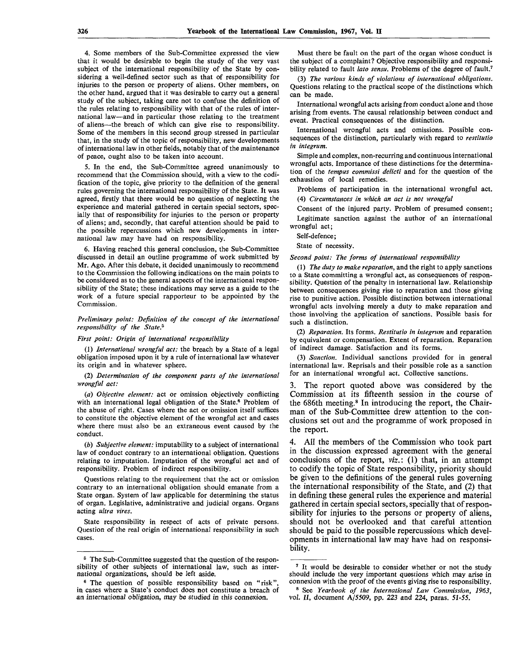4. Some members of the Sub-Committee expressed the view that it would be desirable *to* begin the study of the very vast subject of the international responsibility of the State by considering a well-defined sector such as that of responsibility for injuries to the person or property of aliens. Other members, on the other hand, argued that it was desirable to carry out a general study of the subject, taking care not to confuse the definition of the rules relating to responsibility with that of the rules of international law—and in particular those relating to the treatment of aliens—the breach of which can give rise to responsibility. Some of the members in this second group stressed in particular that, in the study of the topic of responsibility, new developments of international law in other fields, notably that of the maintenance of peace, ought also to be taken into account.

5. In the end, the Sub-Committee agreed unanimously to recommend that the Commission should, with a view to the codification of the topic, give priority to the definition of the general rules governing the international responsibility of the State. It was agreed, firstly that there would be no question of neglecting the experience and material gathered in certain special sectors, specially that of responsibility for injuries to the person or property of aliens; and, secondly, that careful attention should be paid to the possible repercussions which new developments in international law may have had on responsibility.

6. Having reached this general conclusion, the Sub-Committee discussed in detail an outline programme of work submitted by Mr. Ago. After this debate, it decided unanimously to recommend to the Commission the following indications on the main points to be considered as to the general aspects of the international responsibility of the State; these indications may serve as a guide to the work of a future special rapporteur to be appointed by the Commission.

#### *Preliminary point: Definition of the concept of the international responsibility of the State.<sup>5</sup>*

#### *First point: Origin of international responsibility*

(1) *International wrongful act:* the breach by a State of a legal obligation imposed upon it by a rule of international law whatever its origin and in whatever sphere.

(2) *Determination of the component parts of the international wrongful act:*

*(a) Objective element:* act or omission objectively conflicting with an international legal obligation of the State.<sup>6</sup> Problem of the abuse of right. Cases where the act or omission itself suffices to constitute the objective element of the wrongful act and cases where there must also be an extraneous event caused by the conduct.

*(b) Subjective element:* imputability to a subject of international law of conduct contrary to an international obligation. Questions relating to imputation. Imputation of the wrongful act and of responsibility. Problem of indirect responsibility.

Questions relating to the requirement that the act or omission contrary to an international obligation should emanate from a State organ. System of law applicable for determining the status of organ. Legislative, administrative and judicial organs. Organs acting *ultra vires.*

State responsibility in respect of acts of private persons. Question of the real origin of international responsibility in such cases.

Must there be fault on the part of the organ whose conduct is the subject of a complaint? Objective responsibility and responsibility related to fault *lato sensu.* Problems of the degree of fault.<sup>7</sup>

(3) *The various kinds of violations of international obligations.* Questions relating to the practical scope of the distinctions which can be made.

International wrongful acts arising from conduct alone and those arising from events. The causal relationship between conduct and event. Practical consequences of the distinction.

International wrongful acts and omissions. Possible consequences of the distinction, particularly with regard to *restitutio in integrum.*

Simple and complex, non-recurring and continuous international wrongful acts. Importance of these distinctions for the determination of the *tempus commissi delicti* and for the question of the exhaustion of local remedies.

Problems of participation in the international wrongful act. (4) *Circumstances in which an act is not wrongful*

Consent of the injured party. Problem of presumed consent; Legitimate sanction against the author of an international

### wrongful act; Self-defence;

State of necessity.

#### *Second point: The forms of international responsibility*

(1) *The duty to make reparation,* and the right to apply sanctions to a State committing a wrongful act, as consequences of responsibility. Question of the penalty in international law. Relationship between consequences giving rise to reparation and those giving rise to punitive action. Possible distinction between international wrongful acts involving merely a duty to make reparation and those involving the application of sanctions. Possible basis for such a distinction.

(2) *Reparation.* Its forms. *Restitutio in integrum* and reparation by equivalent or compensation. Extent of reparation. Reparation of indirect damage. Satisfaction and its forms.

(3) *Sanction.* Individual sanctions provided for in general international law. Reprisals and their possible role as a sanction for an international wrongful act. Collective sanctions.

3. The report quoted above was considered by the Commission at its fifteenth session in the course of the 686th meeting.<sup>8</sup> In introducing the report, the Chairman of the Sub-Committee drew attention to the conclusions set out and the programme of work proposed in the report.

4. All the members of the Commission who took part in the discussion expressed agreement with the general conclusions of the report, *viz.:* (1) that, in an attempt to codify the topic of State responsibility, priority should be given to the definitions of the general rules governing the international responsibility of the State, and (2) that in defining these general rules the experience and material gathered in certain special sectors, specially that of responsibility for injuries to the persons or property of aliens, should not be overlooked and that careful attention should be paid to the possible repercussions which developments in international law may have had on responsibility.

<sup>&</sup>lt;sup>5</sup> The Sub-Committee suggested that the question of the responsibility of other subjects of international law, such as international organizations, should be left aside.

<sup>&</sup>lt;sup>6</sup> The question of possible responsibility based on "risk", in cases where a State's conduct does not constitute a breach of an international obligation, may be studied in this connexion.

<sup>&</sup>lt;sup>7</sup> It would be desirable to consider whether or not the study should include the very important questions which may arise in connexion with the proof of the events giving rise to responsibility.

<sup>8</sup> See *Yearbook of the International Law Commission, 1963,* vol. II, document A/5509, pp. 223 and 224, paras. 51-55.